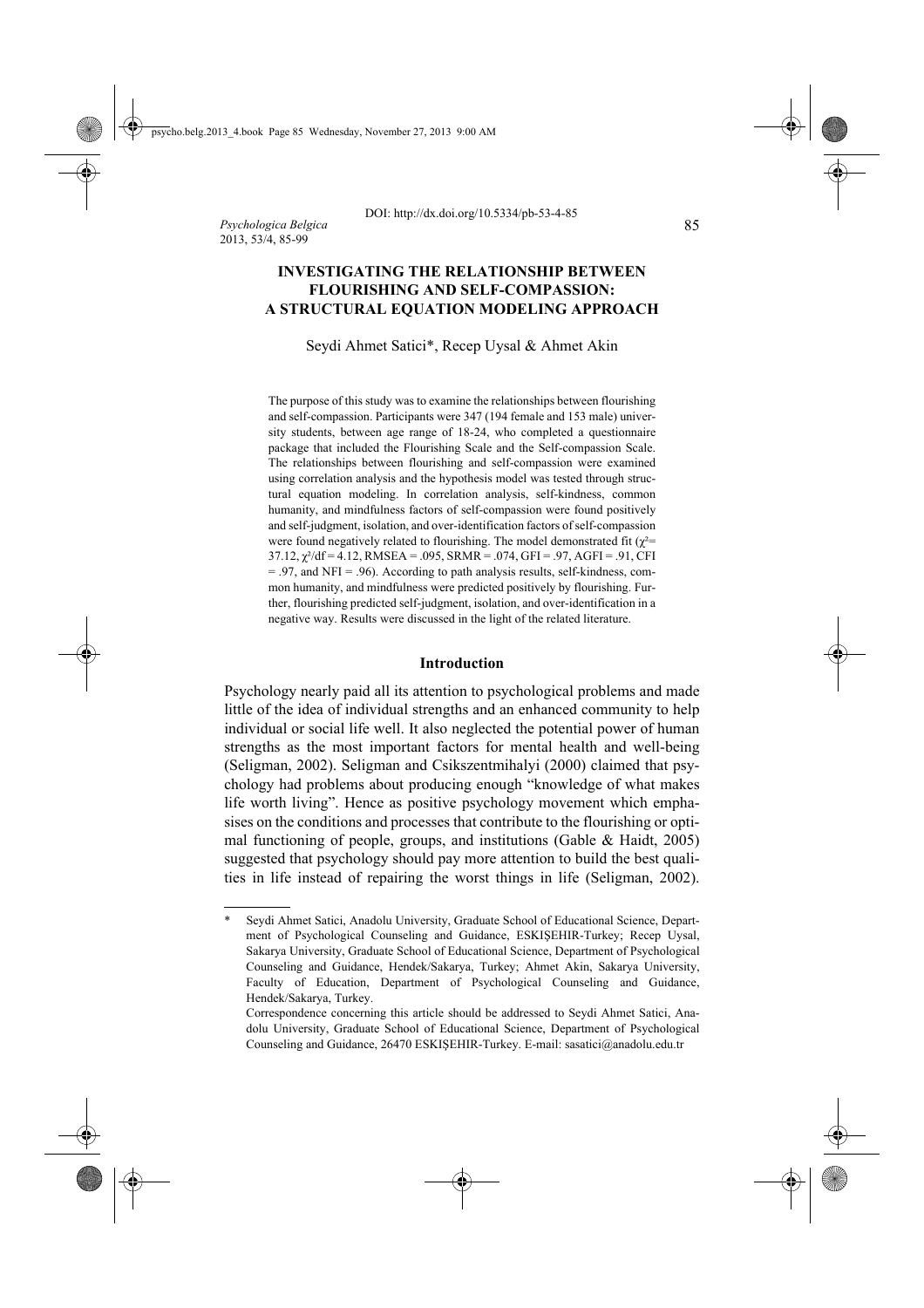# **INVESTIGATING THE RELATIONSHIP BETWEEN FLOURISHING AND SELF-COMPASSION: A STRUCTURAL EQUATION MODELING APPROACH**

Seydi Ahmet Satici\*, Recep Uysal & Ahmet Akin

The purpose of this study was to examine the relationships between flourishing and self-compassion. Participants were 347 (194 female and 153 male) university students, between age range of 18-24, who completed a questionnaire package that included the Flourishing Scale and the Self-compassion Scale. The relationships between flourishing and self-compassion were examined using correlation analysis and the hypothesis model was tested through structural equation modeling. In correlation analysis, self-kindness, common humanity, and mindfulness factors of self-compassion were found positively and self-judgment, isolation, and over-identification factors of self-compassion were found negatively related to flourishing. The model demonstrated fit ( $\chi^2$ =  $37.12$ ,  $\gamma^2$ /df = 4.12, RMSEA = .095, SRMR = .074, GFI = .97, AGFI = .91, CFI = .97, and NFI = .96). According to path analysis results, self-kindness, common humanity, and mindfulness were predicted positively by flourishing. Further, flourishing predicted self-judgment, isolation, and over-identification in a negative way. Results were discussed in the light of the related literature.

### **Introduction**

Psychology nearly paid all its attention to psychological problems and made little of the idea of individual strengths and an enhanced community to help individual or social life well. It also neglected the potential power of human strengths as the most important factors for mental health and well-being (Seligman, 2002). Seligman and Csikszentmihalyi (2000) claimed that psychology had problems about producing enough "knowledge of what makes life worth living". Hence as positive psychology movement which emphasises on the conditions and processes that contribute to the flourishing or optimal functioning of people, groups, and institutions (Gable & Haidt, 2005) suggested that psychology should pay more attention to build the best qualities in life instead of repairing the worst things in life (Seligman, 2002).

Seydi Ahmet Satici, Anadolu University, Graduate School of Educational Science, Department of Psychological Counseling and Guidance, ESKIŞEHIR-Turkey; Recep Uysal, Sakarya University, Graduate School of Educational Science, Department of Psychological Counseling and Guidance, Hendek/Sakarya, Turkey; Ahmet Akin, Sakarya University, Faculty of Education, Department of Psychological Counseling and Guidance, Hendek/Sakarya, Turkey.

Correspondence concerning this article should be addressed to Seydi Ahmet Satici, Anadolu University, Graduate School of Educational Science, Department of Psychological Counseling and Guidance, 26470 ESKIŞEHIR-Turkey. E-mail: sasatici@anadolu.edu.tr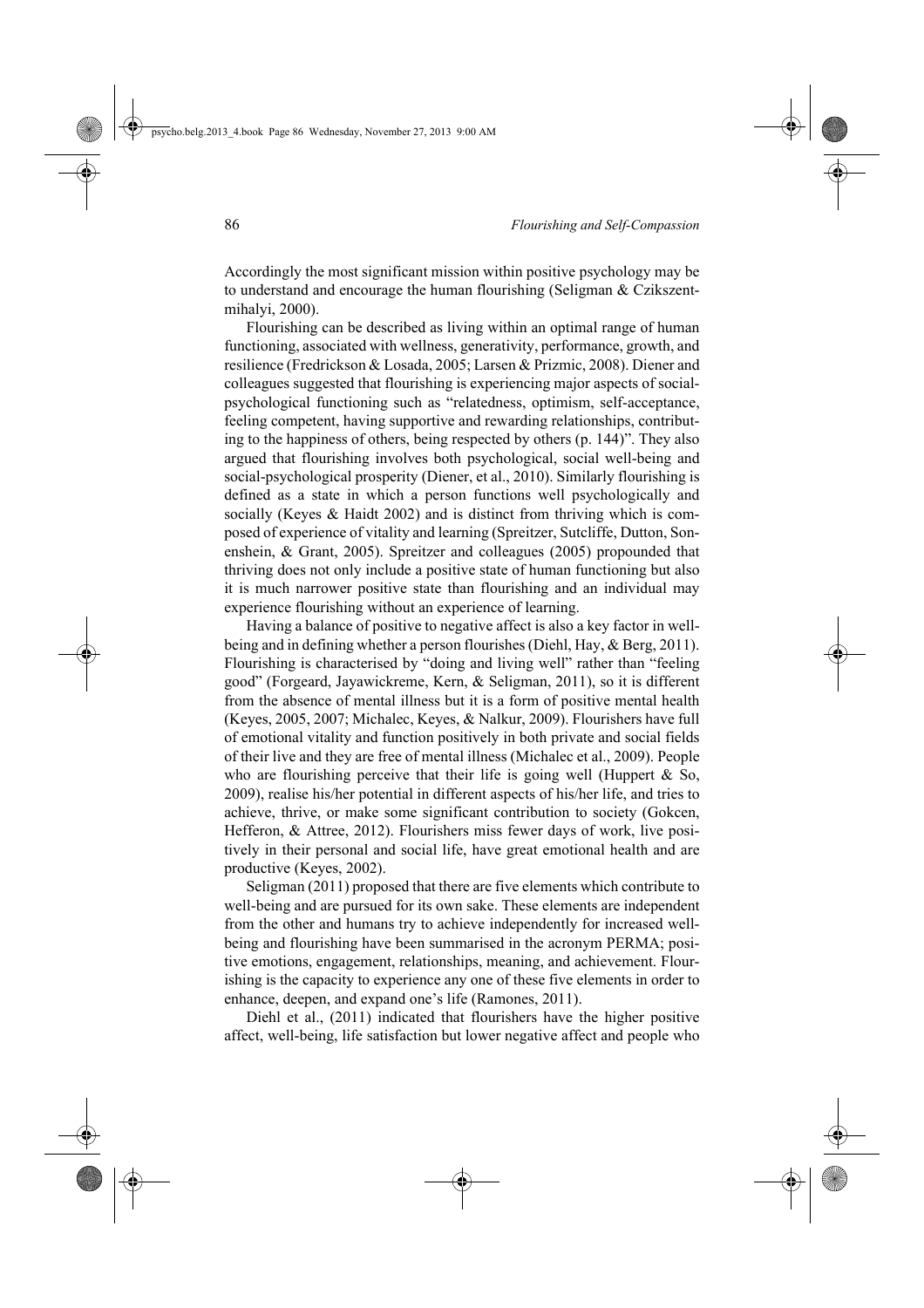Accordingly the most significant mission within positive psychology may be to understand and encourage the human flourishing (Seligman & Czikszentmihalyi, 2000).

Flourishing can be described as living within an optimal range of human functioning, associated with wellness, generativity, performance, growth, and resilience (Fredrickson & Losada, 2005; Larsen & Prizmic, 2008). Diener and colleagues suggested that flourishing is experiencing major aspects of socialpsychological functioning such as "relatedness, optimism, self-acceptance, feeling competent, having supportive and rewarding relationships, contributing to the happiness of others, being respected by others (p. 144)". They also argued that flourishing involves both psychological, social well-being and social-psychological prosperity (Diener, et al., 2010). Similarly flourishing is defined as a state in which a person functions well psychologically and socially (Keyes & Haidt 2002) and is distinct from thriving which is composed of experience of vitality and learning (Spreitzer, Sutcliffe, Dutton, Sonenshein, & Grant, 2005). Spreitzer and colleagues (2005) propounded that thriving does not only include a positive state of human functioning but also it is much narrower positive state than flourishing and an individual may experience flourishing without an experience of learning.

Having a balance of positive to negative affect is also a key factor in wellbeing and in defining whether a person flourishes (Diehl, Hay, & Berg, 2011). Flourishing is characterised by "doing and living well" rather than "feeling good" (Forgeard, Jayawickreme, Kern, & Seligman, 2011), so it is different from the absence of mental illness but it is a form of positive mental health (Keyes, 2005, 2007; Michalec, Keyes, & Nalkur, 2009). Flourishers have full of emotional vitality and function positively in both private and social fields of their live and they are free of mental illness (Michalec et al., 2009). People who are flourishing perceive that their life is going well (Huppert  $\&$  So, 2009), realise his/her potential in different aspects of his/her life, and tries to achieve, thrive, or make some significant contribution to society (Gokcen, Hefferon, & Attree, 2012). Flourishers miss fewer days of work, live positively in their personal and social life, have great emotional health and are productive (Keyes, 2002).

Seligman (2011) proposed that there are five elements which contribute to well-being and are pursued for its own sake. These elements are independent from the other and humans try to achieve independently for increased wellbeing and flourishing have been summarised in the acronym PERMA; positive emotions, engagement, relationships, meaning, and achievement. Flourishing is the capacity to experience any one of these five elements in order to enhance, deepen, and expand one's life (Ramones, 2011).

Diehl et al., (2011) indicated that flourishers have the higher positive affect, well-being, life satisfaction but lower negative affect and people who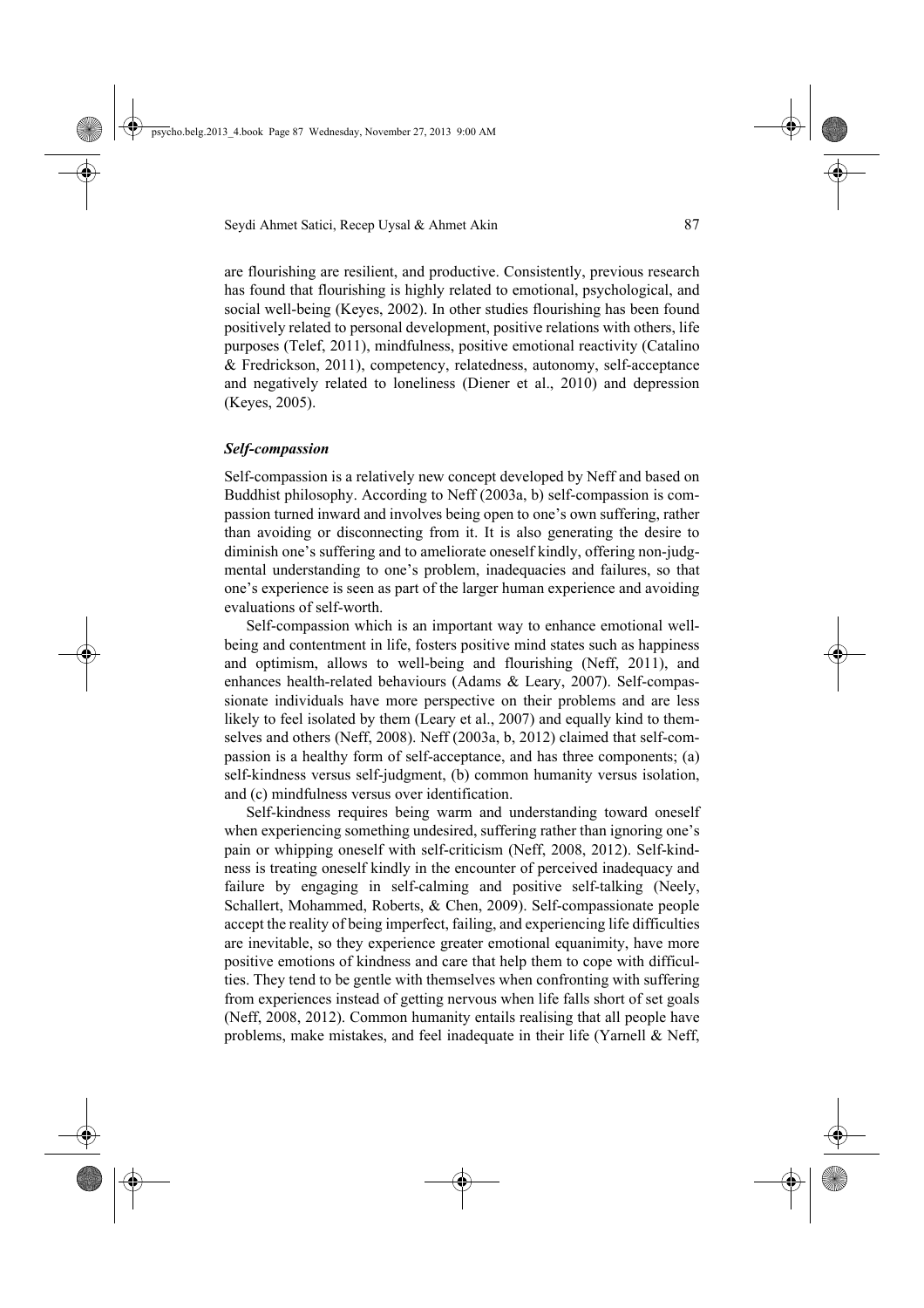are flourishing are resilient, and productive. Consistently, previous research has found that flourishing is highly related to emotional, psychological, and social well-being (Keyes, 2002). In other studies flourishing has been found positively related to personal development, positive relations with others, life purposes (Telef, 2011), mindfulness, positive emotional reactivity (Catalino & Fredrickson, 2011), competency, relatedness, autonomy, self-acceptance and negatively related to loneliness (Diener et al., 2010) and depression (Keyes, 2005).

## *Self-compassion*

Self-compassion is a relatively new concept developed by Neff and based on Buddhist philosophy. According to Neff (2003a, b) self-compassion is compassion turned inward and involves being open to one's own suffering, rather than avoiding or disconnecting from it. It is also generating the desire to diminish one's suffering and to ameliorate oneself kindly, offering non-judgmental understanding to one's problem, inadequacies and failures, so that one's experience is seen as part of the larger human experience and avoiding evaluations of self-worth.

Self-compassion which is an important way to enhance emotional wellbeing and contentment in life, fosters positive mind states such as happiness and optimism, allows to well-being and flourishing (Neff, 2011), and enhances health-related behaviours (Adams & Leary, 2007). Self-compassionate individuals have more perspective on their problems and are less likely to feel isolated by them (Leary et al., 2007) and equally kind to themselves and others (Neff, 2008). Neff (2003a, b, 2012) claimed that self-compassion is a healthy form of self-acceptance, and has three components; (a) self-kindness versus self-judgment, (b) common humanity versus isolation, and (c) mindfulness versus over identification.

Self-kindness requires being warm and understanding toward oneself when experiencing something undesired, suffering rather than ignoring one's pain or whipping oneself with self-criticism (Neff, 2008, 2012). Self-kindness is treating oneself kindly in the encounter of perceived inadequacy and failure by engaging in self-calming and positive self-talking (Neely, Schallert, Mohammed, Roberts, & Chen, 2009). Self-compassionate people accept the reality of being imperfect, failing, and experiencing life difficulties are inevitable, so they experience greater emotional equanimity, have more positive emotions of kindness and care that help them to cope with difficulties. They tend to be gentle with themselves when confronting with suffering from experiences instead of getting nervous when life falls short of set goals (Neff, 2008, 2012). Common humanity entails realising that all people have problems, make mistakes, and feel inadequate in their life (Yarnell & Neff,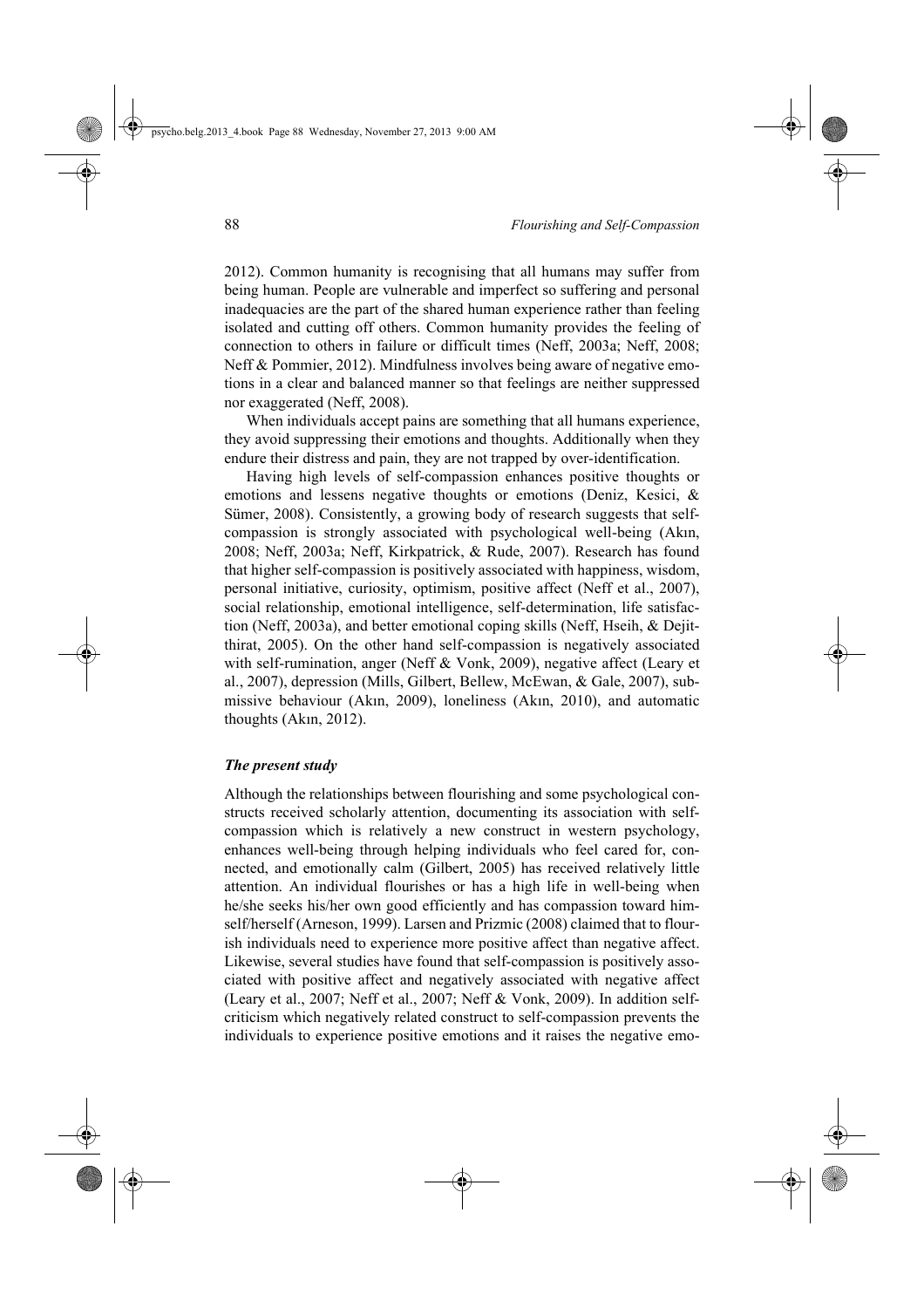2012). Common humanity is recognising that all humans may suffer from being human. People are vulnerable and imperfect so suffering and personal inadequacies are the part of the shared human experience rather than feeling isolated and cutting off others. Common humanity provides the feeling of connection to others in failure or difficult times (Neff, 2003a; Neff, 2008; Neff & Pommier, 2012). Mindfulness involves being aware of negative emotions in a clear and balanced manner so that feelings are neither suppressed nor exaggerated (Neff, 2008).

When individuals accept pains are something that all humans experience, they avoid suppressing their emotions and thoughts. Additionally when they endure their distress and pain, they are not trapped by over-identification.

Having high levels of self-compassion enhances positive thoughts or emotions and lessens negative thoughts or emotions (Deniz, Kesici, & Sümer, 2008). Consistently, a growing body of research suggests that selfcompassion is strongly associated with psychological well-being (Akın, 2008; Neff, 2003a; Neff, Kirkpatrick, & Rude, 2007). Research has found that higher self-compassion is positively associated with happiness, wisdom, personal initiative, curiosity, optimism, positive affect (Neff et al., 2007), social relationship, emotional intelligence, self-determination, life satisfaction (Neff, 2003a), and better emotional coping skills (Neff, Hseih, & Dejitthirat, 2005). On the other hand self-compassion is negatively associated with self-rumination, anger (Neff & Vonk, 2009), negative affect (Leary et al., 2007), depression (Mills, Gilbert, Bellew, McEwan, & Gale, 2007), submissive behaviour (Akın, 2009), loneliness (Akın, 2010), and automatic thoughts (Akın, 2012).

# *The present study*

Although the relationships between flourishing and some psychological constructs received scholarly attention, documenting its association with selfcompassion which is relatively a new construct in western psychology, enhances well-being through helping individuals who feel cared for, connected, and emotionally calm (Gilbert, 2005) has received relatively little attention. An individual flourishes or has a high life in well-being when he/she seeks his/her own good efficiently and has compassion toward himself/herself (Arneson, 1999). Larsen and Prizmic (2008) claimed that to flourish individuals need to experience more positive affect than negative affect. Likewise, several studies have found that self-compassion is positively associated with positive affect and negatively associated with negative affect (Leary et al., 2007; Neff et al., 2007; Neff & Vonk, 2009). In addition selfcriticism which negatively related construct to self-compassion prevents the individuals to experience positive emotions and it raises the negative emo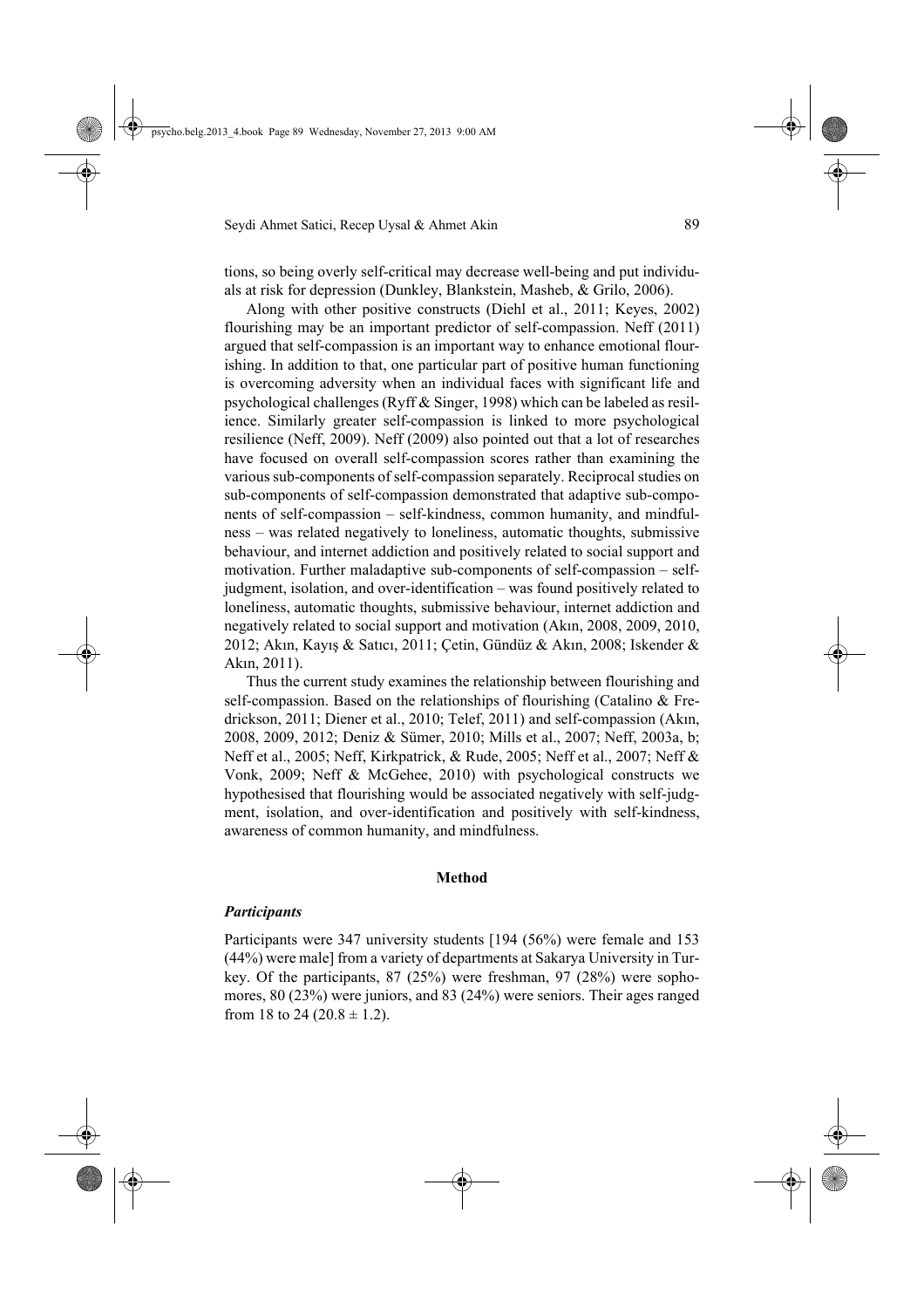tions, so being overly self-critical may decrease well-being and put individuals at risk for depression (Dunkley, Blankstein, Masheb, & Grilo, 2006).

Along with other positive constructs (Diehl et al., 2011; Keyes, 2002) flourishing may be an important predictor of self-compassion. Neff (2011) argued that self-compassion is an important way to enhance emotional flourishing. In addition to that, one particular part of positive human functioning is overcoming adversity when an individual faces with significant life and psychological challenges (Ryff & Singer, 1998) which can be labeled as resilience. Similarly greater self-compassion is linked to more psychological resilience (Neff, 2009). Neff (2009) also pointed out that a lot of researches have focused on overall self-compassion scores rather than examining the various sub-components of self-compassion separately. Reciprocal studies on sub-components of self-compassion demonstrated that adaptive sub-components of self-compassion – self-kindness, common humanity, and mindfulness – was related negatively to loneliness, automatic thoughts, submissive behaviour, and internet addiction and positively related to social support and motivation. Further maladaptive sub-components of self-compassion – selfjudgment, isolation, and over-identification – was found positively related to loneliness, automatic thoughts, submissive behaviour, internet addiction and negatively related to social support and motivation (Akın, 2008, 2009, 2010, 2012; Akın, Kayış & Satıcı, 2011; Çetin, Gündüz & Akın, 2008; Iskender & Akın, 2011).

Thus the current study examines the relationship between flourishing and self-compassion. Based on the relationships of flourishing (Catalino & Fredrickson, 2011; Diener et al., 2010; Telef, 2011) and self-compassion (Akın, 2008, 2009, 2012; Deniz & Sümer, 2010; Mills et al., 2007; Neff, 2003a, b; Neff et al., 2005; Neff, Kirkpatrick, & Rude, 2005; Neff et al., 2007; Neff & Vonk, 2009; Neff & McGehee, 2010) with psychological constructs we hypothesised that flourishing would be associated negatively with self-judgment, isolation, and over-identification and positively with self-kindness, awareness of common humanity, and mindfulness.

#### **Method**

# *Participants*

Participants were 347 university students [194 (56%) were female and 153 (44%) were male] from a variety of departments at Sakarya University in Turkey. Of the participants, 87 (25%) were freshman, 97 (28%) were sophomores, 80 (23%) were juniors, and 83 (24%) were seniors. Their ages ranged from 18 to 24 (20.8  $\pm$  1.2).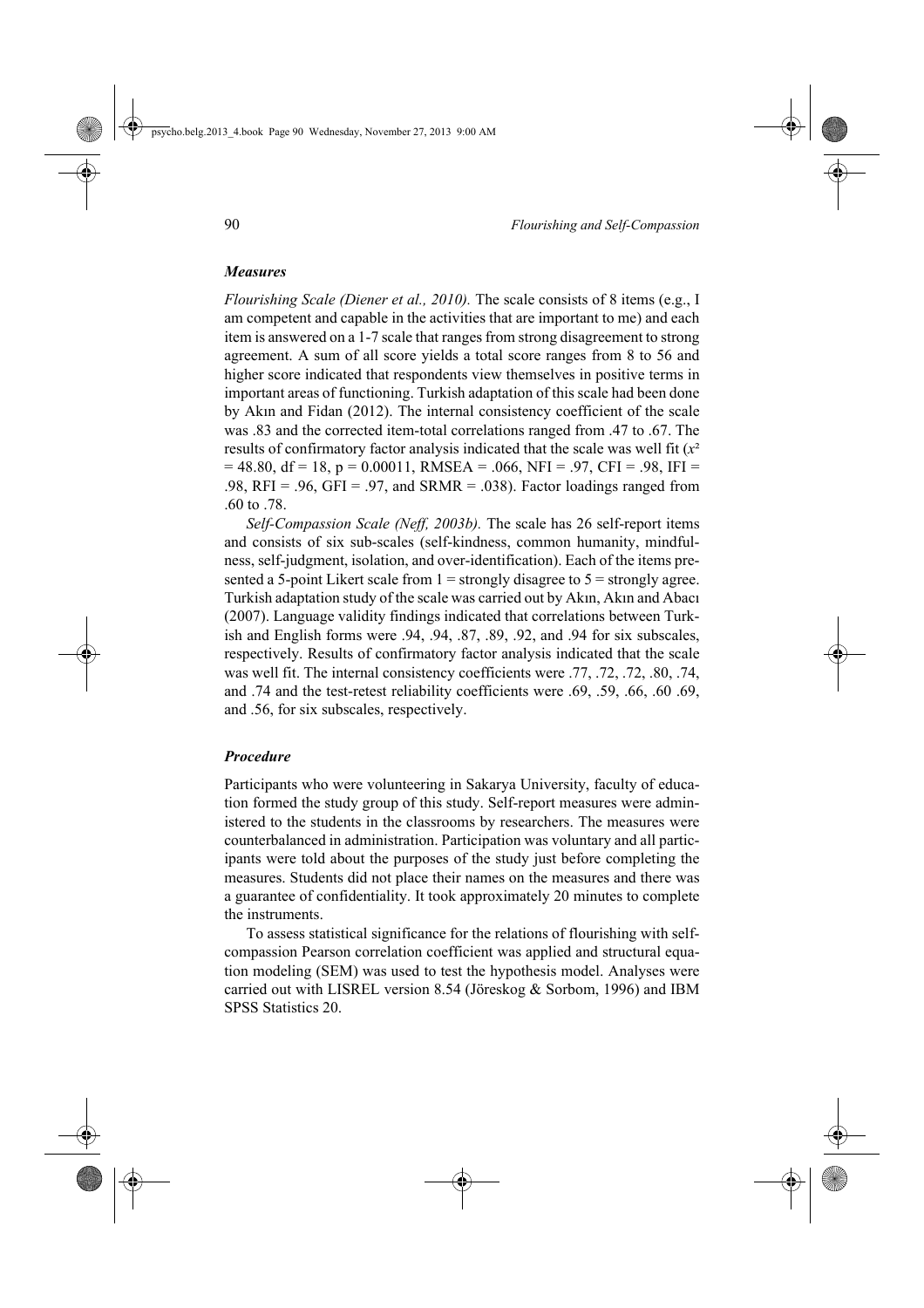# *Measures*

*Flourishing Scale (Diener et al., 2010).* The scale consists of 8 items (e.g., I am competent and capable in the activities that are important to me) and each item is answered on a 1-7 scale that ranges from strong disagreement to strong agreement. A sum of all score yields a total score ranges from 8 to 56 and higher score indicated that respondents view themselves in positive terms in important areas of functioning. Turkish adaptation of this scale had been done by Akın and Fidan (2012). The internal consistency coefficient of the scale was .83 and the corrected item-total correlations ranged from .47 to .67. The results of confirmatory factor analysis indicated that the scale was well fit  $(x^2)$  $= 48.80$ , df = 18, p = 0.00011, RMSEA = .066, NFI = .97, CFI = .98, IFI = .98,  $RFI = .96$ ,  $GFI = .97$ , and  $SRMR = .038$ ). Factor loadings ranged from .60 to .78.

*Self-Compassion Scale (Neff, 2003b).* The scale has 26 self-report items and consists of six sub-scales (self-kindness, common humanity, mindfulness, self-judgment, isolation, and over-identification). Each of the items presented a 5-point Likert scale from  $1 =$  strongly disagree to  $5 =$  strongly agree. Turkish adaptation study of the scale was carried out by Akın, Akın and Abacı (2007). Language validity findings indicated that correlations between Turkish and English forms were .94, .94, .87, .89, .92, and .94 for six subscales, respectively. Results of confirmatory factor analysis indicated that the scale was well fit. The internal consistency coefficients were .77, .72, .72, .80, .74, and .74 and the test-retest reliability coefficients were .69, .59, .66, .60 .69, and .56, for six subscales, respectively.

#### *Procedure*

Participants who were volunteering in Sakarya University, faculty of education formed the study group of this study. Self-report measures were administered to the students in the classrooms by researchers. The measures were counterbalanced in administration. Participation was voluntary and all participants were told about the purposes of the study just before completing the measures. Students did not place their names on the measures and there was a guarantee of confidentiality. It took approximately 20 minutes to complete the instruments.

To assess statistical significance for the relations of flourishing with selfcompassion Pearson correlation coefficient was applied and structural equation modeling (SEM) was used to test the hypothesis model. Analyses were carried out with LISREL version 8.54 (Jöreskog & Sorbom, 1996) and IBM SPSS Statistics 20.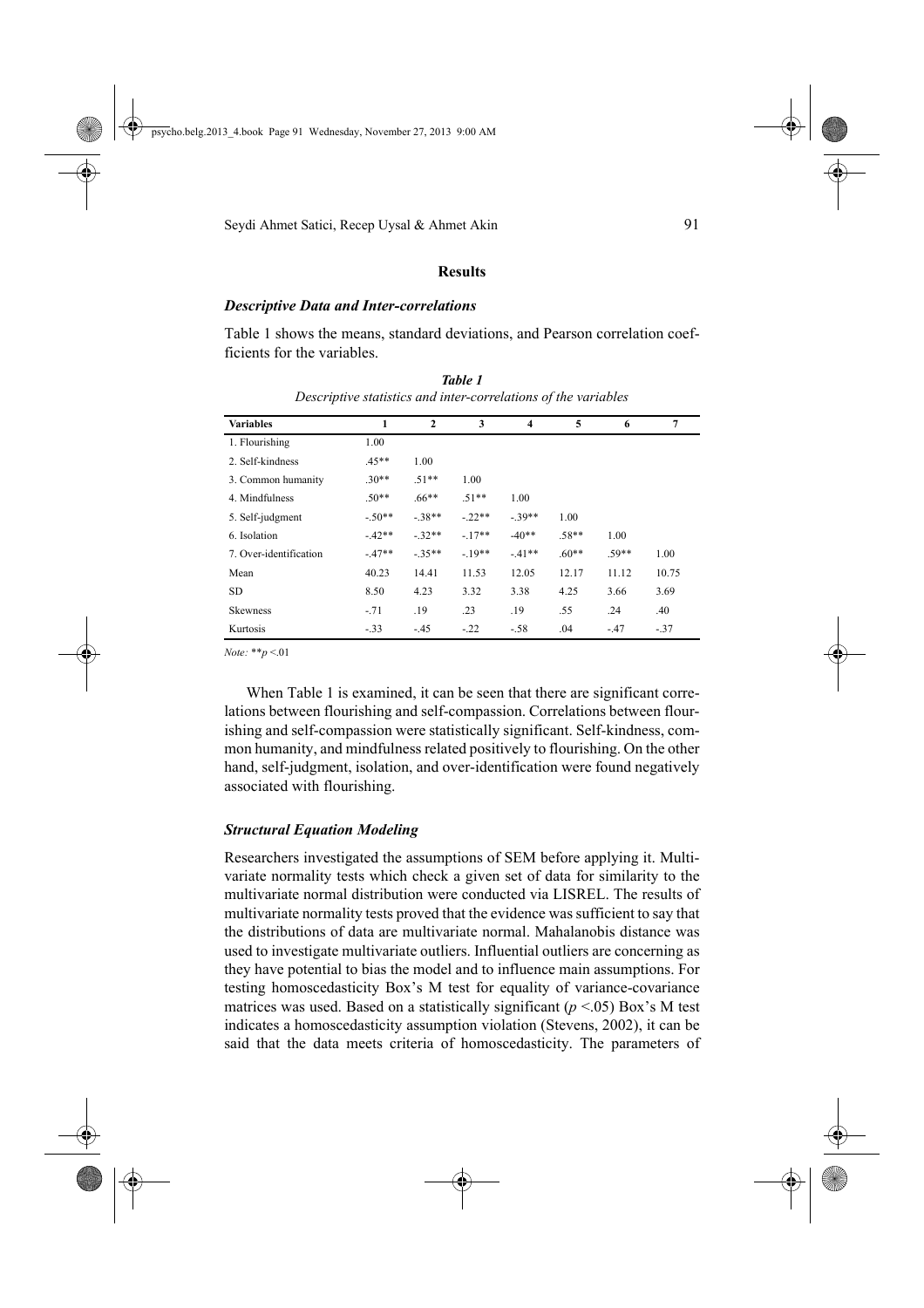## **Results**

## *Descriptive Data and Inter-correlations*

Table 1 shows the means, standard deviations, and Pearson correlation coefficients for the variables.

| <b>Variables</b>       | 1       | $\overline{2}$ | 3       | $\overline{\mathbf{4}}$ | 5       | 6       | $\overline{7}$ |
|------------------------|---------|----------------|---------|-------------------------|---------|---------|----------------|
| 1. Flourishing         | 1.00    |                |         |                         |         |         |                |
| 2. Self-kindness       | $.45**$ | 1.00           |         |                         |         |         |                |
| 3. Common humanity     | $.30**$ | $.51**$        | 1.00    |                         |         |         |                |
| 4. Mindfulness         | $.50**$ | $.66**$        | $.51**$ | 1.00                    |         |         |                |
| 5. Self-judgment       | $-50**$ | $-38**$        | $-22**$ | $-39**$                 | 1.00    |         |                |
| 6. Isolation           | $-42**$ | $-32**$        | $-17**$ | $-40**$                 | $.58**$ | 1.00    |                |
| 7. Over-identification | $-47**$ | $-35**$        | $-19**$ | $-41**$                 | $60**$  | $.59**$ | 1.00           |
| Mean                   | 40.23   | 14.41          | 11.53   | 12.05                   | 12.17   | 11.12   | 10.75          |
| <b>SD</b>              | 8.50    | 4.23           | 3.32    | 3.38                    | 4.25    | 3.66    | 3.69           |
| <b>Skewness</b>        | $-71$   | .19            | .23     | .19                     | .55     | .24     | .40            |
| Kurtosis               | $-33$   | $-.45$         | $-22$   | $-58$                   | .04     | $-47$   | $-37$          |

*Table 1 Descriptive statistics and inter-correlations of the variables*

*Note:* \*\**p* <.01

When Table 1 is examined, it can be seen that there are significant correlations between flourishing and self-compassion. Correlations between flourishing and self-compassion were statistically significant. Self-kindness, common humanity, and mindfulness related positively to flourishing. On the other hand, self-judgment, isolation, and over-identification were found negatively associated with flourishing.

### *Structural Equation Modeling*

Researchers investigated the assumptions of SEM before applying it. Multivariate normality tests which check a given set of data for similarity to the multivariate normal distribution were conducted via LISREL. The results of multivariate normality tests proved that the evidence was sufficient to say that the distributions of data are multivariate normal. Mahalanobis distance was used to investigate multivariate outliers. Influential outliers are concerning as they have potential to bias the model and to influence main assumptions. For testing homoscedasticity Box's M test for equality of variance-covariance matrices was used. Based on a statistically significant  $(p < 0.05)$  Box's M test indicates a homoscedasticity assumption violation (Stevens, 2002), it can be said that the data meets criteria of homoscedasticity. The parameters of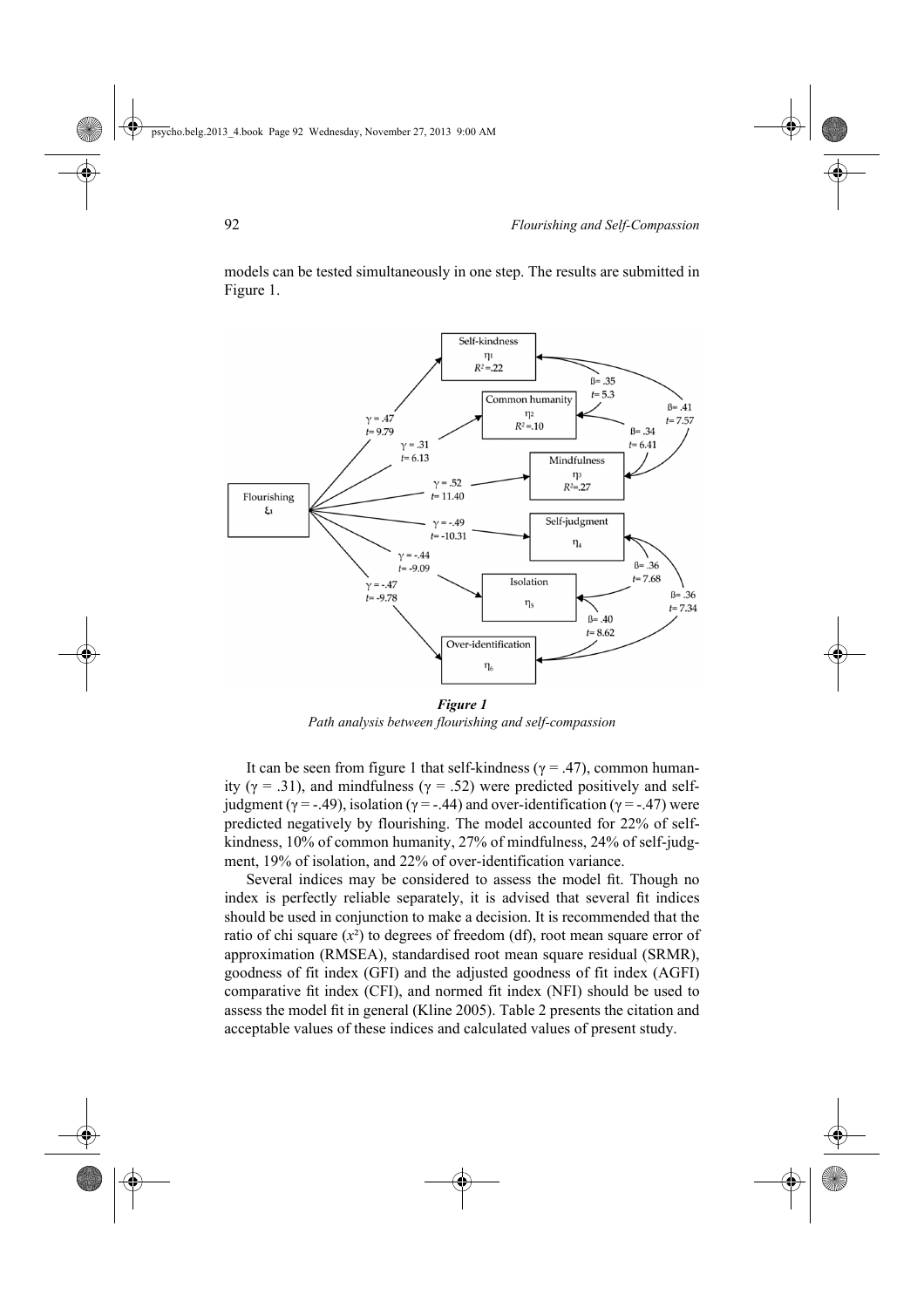

models can be tested simultaneously in one step. The results are submitted in Figure 1.

*Figure 1 Path analysis between flourishing and self-compassion*

It can be seen from figure 1 that self-kindness ( $\gamma$  = .47), common humanity ( $\gamma$  = .31), and mindfulness ( $\gamma$  = .52) were predicted positively and selfjudgment (γ = -.49), isolation (γ = -.44) and over-identification (γ = -.47) were predicted negatively by flourishing. The model accounted for 22% of selfkindness, 10% of common humanity, 27% of mindfulness, 24% of self-judgment, 19% of isolation, and 22% of over-identification variance.

Several indices may be considered to assess the model fit. Though no index is perfectly reliable separately, it is advised that several fit indices should be used in conjunction to make a decision. It is recommended that the ratio of chi square  $(x^2)$  to degrees of freedom (df), root mean square error of approximation (RMSEA), standardised root mean square residual (SRMR), goodness of fit index (GFI) and the adjusted goodness of fit index (AGFI) comparative fit index (CFI), and normed fit index (NFI) should be used to assess the model fit in general (Kline 2005). Table 2 presents the citation and acceptable values of these indices and calculated values of present study.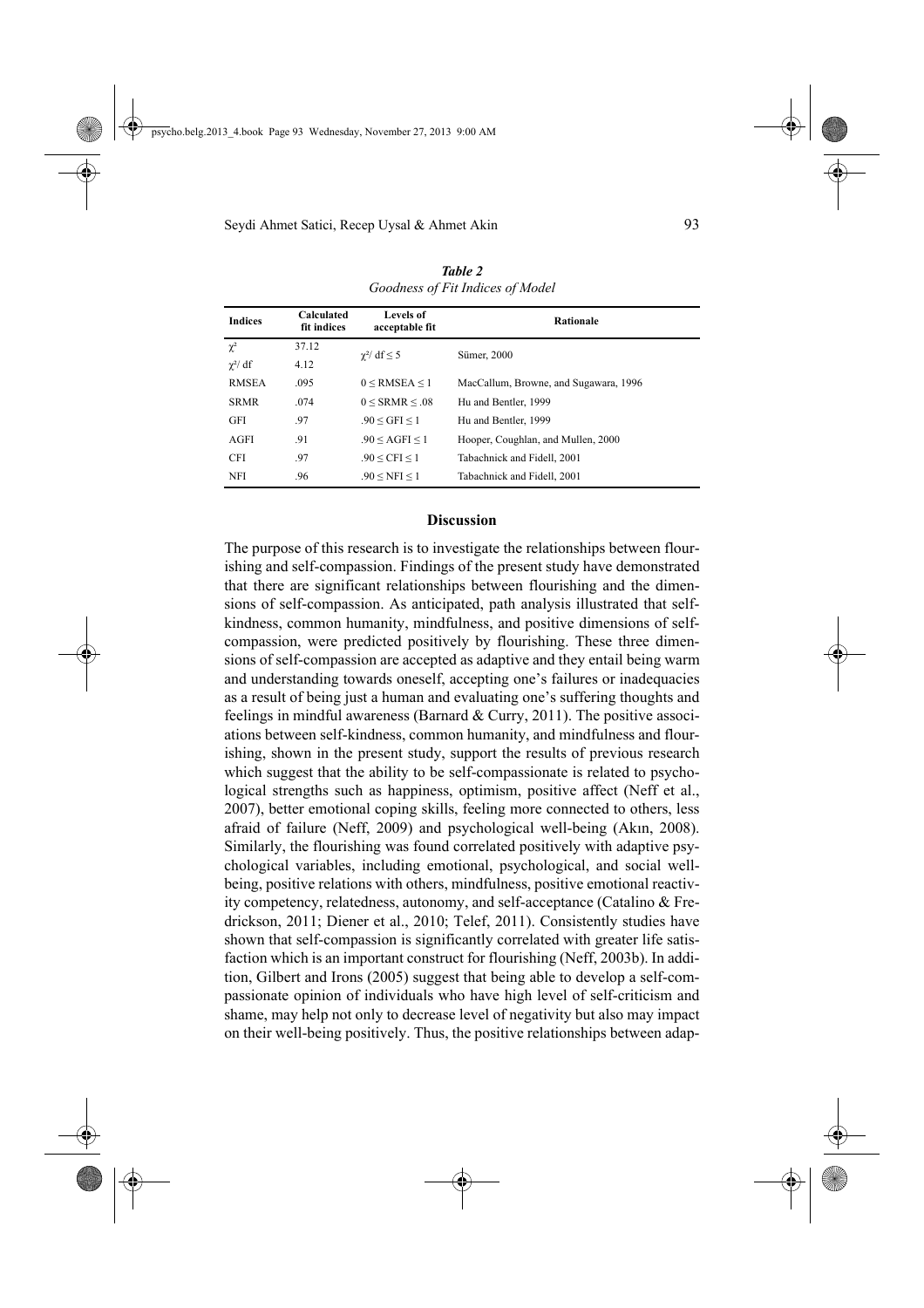|                | <b>Calculated</b> | <b>Levels of</b>           |                                       |  |  |  |
|----------------|-------------------|----------------------------|---------------------------------------|--|--|--|
| <b>Indices</b> | fit indices       | acceptable fit             | <b>Rationale</b>                      |  |  |  |
| $\chi^2$       | 37.12             | $\gamma^2$ df $\leq 5$     | Sümer, 2000                           |  |  |  |
| $\chi^2$ df    | 4.12              |                            |                                       |  |  |  |
| <b>RMSEA</b>   | .095              | $0 \leq$ RMSEA $\leq$ 1    | MacCallum, Browne, and Sugawara, 1996 |  |  |  |
| <b>SRMR</b>    | .074              | $0 \leq$ SRMR $\leq 0.08$  | Hu and Bentler, 1999                  |  |  |  |
| GFI            | .97               | $.90 < GFI \le 1$          | Hu and Bentler, 1999                  |  |  |  |
| AGFI           | .91               | $.90 < \text{AGFI} \leq 1$ | Hooper, Coughlan, and Mullen, 2000    |  |  |  |
| <b>CFI</b>     | .97               | .90 < CFI < 1              | Tabachnick and Fidell, 2001           |  |  |  |
| NFI            | .96               | .90 < NFI < 1              | Tabachnick and Fidell. 2001           |  |  |  |

*Table 2 Goodness of Fit Indices of Model*

## **Discussion**

The purpose of this research is to investigate the relationships between flourishing and self-compassion. Findings of the present study have demonstrated that there are significant relationships between flourishing and the dimensions of self-compassion. As anticipated, path analysis illustrated that selfkindness, common humanity, mindfulness, and positive dimensions of selfcompassion, were predicted positively by flourishing. These three dimensions of self-compassion are accepted as adaptive and they entail being warm and understanding towards oneself, accepting one's failures or inadequacies as a result of being just a human and evaluating one's suffering thoughts and feelings in mindful awareness (Barnard  $&$  Curry, 2011). The positive associations between self-kindness, common humanity, and mindfulness and flourishing, shown in the present study, support the results of previous research which suggest that the ability to be self-compassionate is related to psychological strengths such as happiness, optimism, positive affect (Neff et al., 2007), better emotional coping skills, feeling more connected to others, less afraid of failure (Neff, 2009) and psychological well-being (Akın, 2008). Similarly, the flourishing was found correlated positively with adaptive psychological variables, including emotional, psychological, and social wellbeing, positive relations with others, mindfulness, positive emotional reactivity competency, relatedness, autonomy, and self-acceptance (Catalino & Fredrickson, 2011; Diener et al., 2010; Telef, 2011). Consistently studies have shown that self-compassion is significantly correlated with greater life satisfaction which is an important construct for flourishing (Neff, 2003b). In addition, Gilbert and Irons (2005) suggest that being able to develop a self-compassionate opinion of individuals who have high level of self-criticism and shame, may help not only to decrease level of negativity but also may impact on their well-being positively. Thus, the positive relationships between adap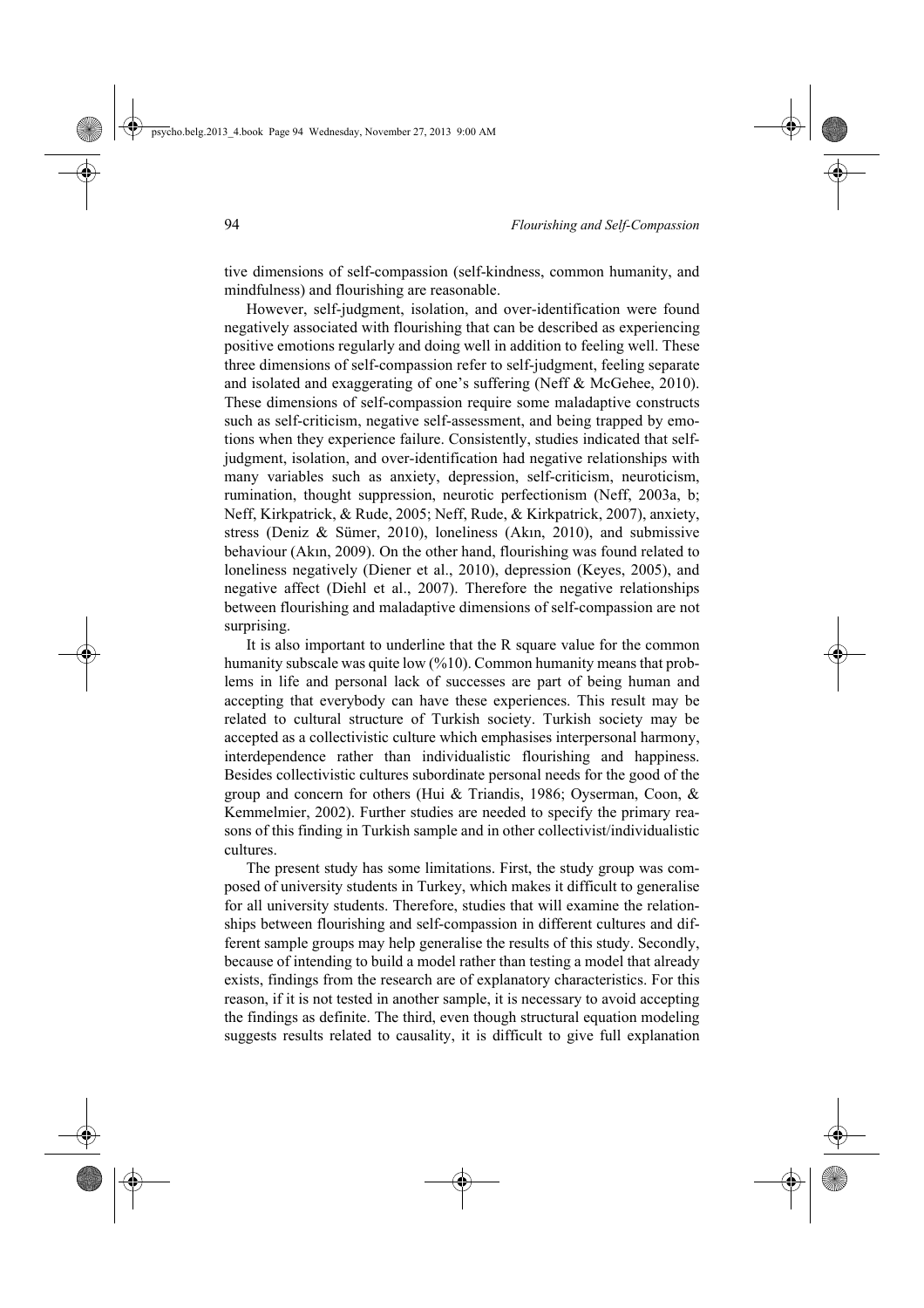tive dimensions of self-compassion (self-kindness, common humanity, and mindfulness) and flourishing are reasonable.

However, self-judgment, isolation, and over-identification were found negatively associated with flourishing that can be described as experiencing positive emotions regularly and doing well in addition to feeling well. These three dimensions of self-compassion refer to self-judgment, feeling separate and isolated and exaggerating of one's suffering (Neff & McGehee, 2010). These dimensions of self-compassion require some maladaptive constructs such as self-criticism, negative self-assessment, and being trapped by emotions when they experience failure. Consistently, studies indicated that selfjudgment, isolation, and over-identification had negative relationships with many variables such as anxiety, depression, self-criticism, neuroticism, rumination, thought suppression, neurotic perfectionism (Neff, 2003a, b; Neff, Kirkpatrick, & Rude, 2005; Neff, Rude, & Kirkpatrick, 2007), anxiety, stress (Deniz & Sümer, 2010), loneliness (Akın, 2010), and submissive behaviour (Akın, 2009). On the other hand, flourishing was found related to loneliness negatively (Diener et al., 2010), depression (Keyes, 2005), and negative affect (Diehl et al., 2007). Therefore the negative relationships between flourishing and maladaptive dimensions of self-compassion are not surprising.

It is also important to underline that the R square value for the common humanity subscale was quite low (%10). Common humanity means that problems in life and personal lack of successes are part of being human and accepting that everybody can have these experiences. This result may be related to cultural structure of Turkish society. Turkish society may be accepted as a collectivistic culture which emphasises interpersonal harmony, interdependence rather than individualistic flourishing and happiness. Besides collectivistic cultures subordinate personal needs for the good of the group and concern for others (Hui & Triandis, 1986; Oyserman, Coon, & Kemmelmier, 2002). Further studies are needed to specify the primary reasons of this finding in Turkish sample and in other collectivist/individualistic cultures.

The present study has some limitations. First, the study group was composed of university students in Turkey, which makes it difficult to generalise for all university students. Therefore, studies that will examine the relationships between flourishing and self-compassion in different cultures and different sample groups may help generalise the results of this study. Secondly, because of intending to build a model rather than testing a model that already exists, findings from the research are of explanatory characteristics. For this reason, if it is not tested in another sample, it is necessary to avoid accepting the findings as definite. The third, even though structural equation modeling suggests results related to causality, it is difficult to give full explanation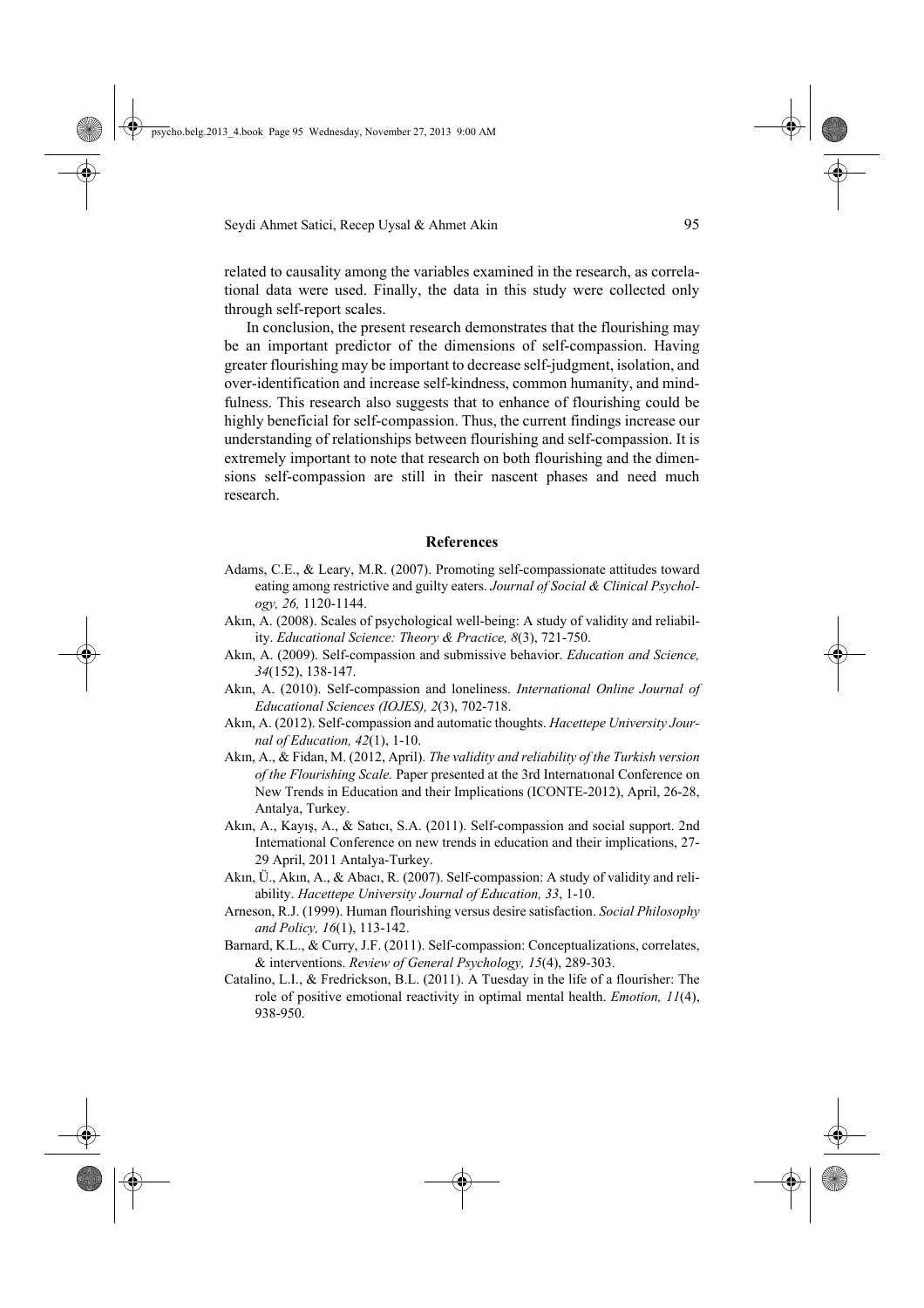related to causality among the variables examined in the research, as correlational data were used. Finally, the data in this study were collected only through self-report scales.

In conclusion, the present research demonstrates that the flourishing may be an important predictor of the dimensions of self-compassion. Having greater flourishing may be important to decrease self-judgment, isolation, and over-identification and increase self-kindness, common humanity, and mindfulness. This research also suggests that to enhance of flourishing could be highly beneficial for self-compassion. Thus, the current findings increase our understanding of relationships between flourishing and self-compassion. It is extremely important to note that research on both flourishing and the dimensions self-compassion are still in their nascent phases and need much research.

### **References**

- Adams, C.E., & Leary, M.R. (2007). Promoting self-compassionate attitudes toward eating among restrictive and guilty eaters. *Journal of Social & Clinical Psychology, 26,* 1120-1144.
- Akın, A. (2008). Scales of psychological well-being: A study of validity and reliability. *Educational Science: Theory & Practice, 8*(3), 721-750.
- Akın, A. (2009). Self-compassion and submissive behavior. *Education and Science, 34*(152), 138-147.
- Akın, A. (2010). Self-compassion and loneliness. *International Online Journal of Educational Sciences (IOJES), 2*(3), 702-718.
- Akın, A. (2012). Self-compassion and automatic thoughts. *Hacettepe University Journal of Education, 42*(1), 1-10.
- Akın, A., & Fidan, M. (2012, April). *The validity and reliability of the Turkish version of the Flourishing Scale.* Paper presented at the 3rd Internatıonal Conference on New Trends in Education and their Implications (ICONTE-2012), April, 26-28, Antalya, Turkey.
- Akın, A., Kayış, A., & Satıcı, S.A. (2011). Self-compassion and social support. 2nd International Conference on new trends in education and their implications, 27- 29 April, 2011 Antalya-Turkey.
- Akın, Ü., Akın, A., & Abacı, R. (2007). Self-compassion: A study of validity and reliability. *Hacettepe University Journal of Education, 33*, 1-10.
- Arneson, R.J. (1999). Human flourishing versus desire satisfaction. *Social Philosophy and Policy, 16*(1), 113-142.
- Barnard, K.L., & Curry, J.F. (2011). Self-compassion: Conceptualizations, correlates, & interventions. *Review of General Psychology, 15*(4), 289-303.
- Catalino, L.I., & Fredrickson, B.L. (2011). A Tuesday in the life of a flourisher: The role of positive emotional reactivity in optimal mental health. *Emotion, 11*(4), 938-950.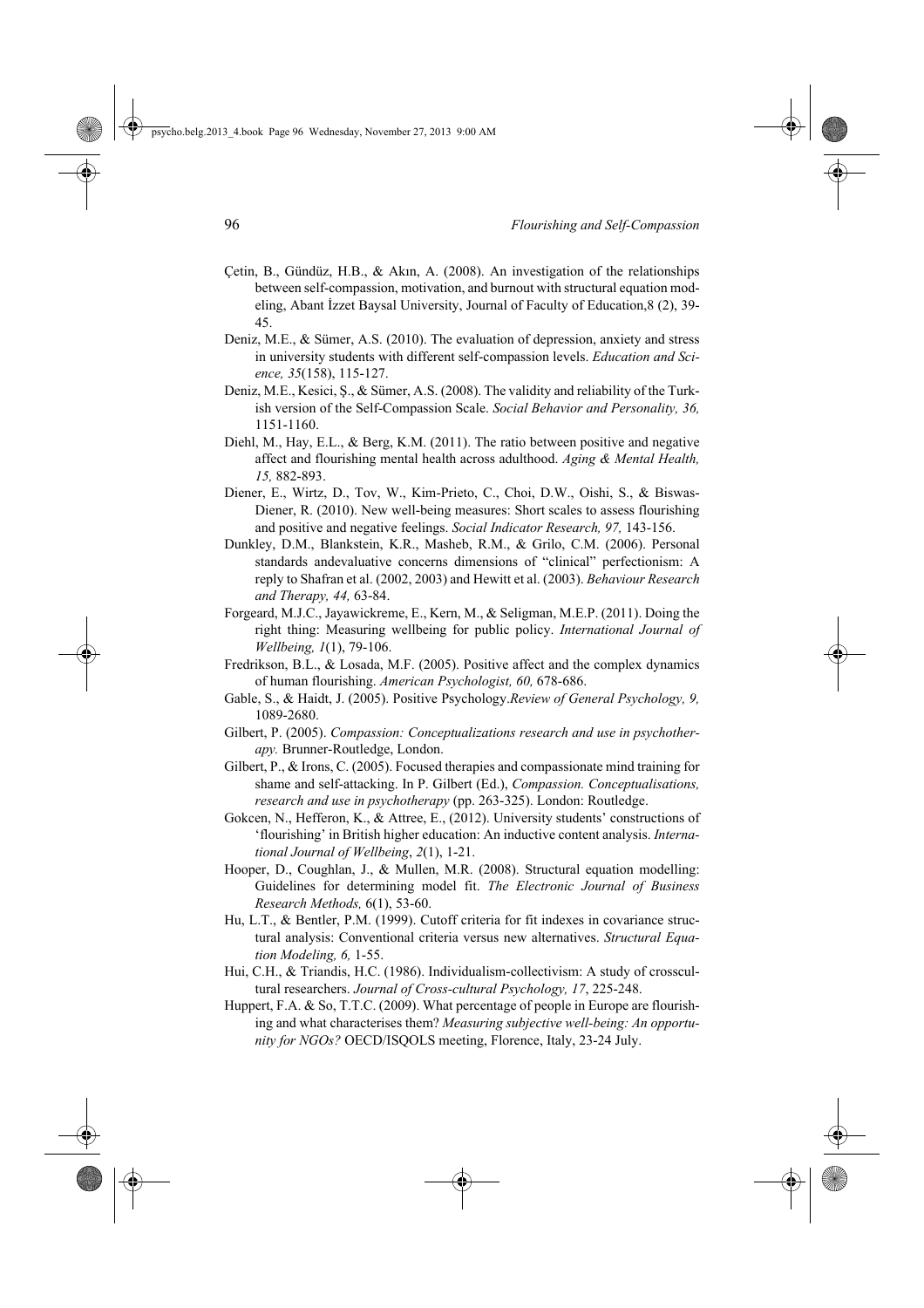- Çetin, B., Gündüz, H.B., & Akın, A. (2008). An investigation of the relationships between self-compassion, motivation, and burnout with structural equation modeling, Abant İzzet Baysal University, Journal of Faculty of Education,8 (2), 39- 45.
- Deniz, M.E., & Sümer, A.S. (2010). The evaluation of depression, anxiety and stress in university students with different self-compassion levels. *Education and Science, 35*(158), 115-127.
- Deniz, M.E., Kesici, Ş., & Sümer, A.S. (2008). The validity and reliability of the Turkish version of the Self-Compassion Scale. *Social Behavior and Personality, 36,* 1151-1160.
- Diehl, M., Hay, E.L., & Berg, K.M. (2011). The ratio between positive and negative affect and flourishing mental health across adulthood. *Aging & Mental Health, 15,* 882-893.
- Diener, E., Wirtz, D., Tov, W., Kim-Prieto, C., Choi, D.W., Oishi, S., & Biswas-Diener, R. (2010). New well-being measures: Short scales to assess flourishing and positive and negative feelings. *Social Indicator Research, 97,* 143-156.
- Dunkley, D.M., Blankstein, K.R., Masheb, R.M., & Grilo, C.M. (2006). Personal standards andevaluative concerns dimensions of "clinical" perfectionism: A reply to Shafran et al. (2002, 2003) and Hewitt et al. (2003). *Behaviour Research and Therapy, 44,* 63-84.
- Forgeard, M.J.C., Jayawickreme, E., Kern, M., & Seligman, M.E.P. (2011). Doing the right thing: Measuring wellbeing for public policy. *International Journal of Wellbeing, 1*(1), 79-106.
- Fredrikson, B.L., & Losada, M.F. (2005). Positive affect and the complex dynamics of human flourishing. *American Psychologist, 60,* 678-686.
- Gable, S., & Haidt, J. (2005). Positive Psychology.*Review of General Psychology, 9,* 1089-2680.
- Gilbert, P. (2005). *Compassion: Conceptualizations research and use in psychotherapy.* Brunner-Routledge, London.
- Gilbert, P., & Irons, C. (2005). Focused therapies and compassionate mind training for shame and self-attacking. In P. Gilbert (Ed.), *Compassion. Conceptualisations, research and use in psychotherapy* (pp. 263-325). London: Routledge.
- Gokcen, N., Hefferon, K., & Attree, E., (2012). University students' constructions of 'flourishing' in British higher education: An inductive content analysis. *International Journal of Wellbeing*, *2*(1), 1-21.
- Hooper, D., Coughlan, J., & Mullen, M.R. (2008). Structural equation modelling: Guidelines for determining model fit. *The Electronic Journal of Business Research Methods,* 6(1), 53-60.
- Hu, L.T., & Bentler, P.M. (1999). Cutoff criteria for fit indexes in covariance structural analysis: Conventional criteria versus new alternatives. *Structural Equation Modeling, 6,* 1-55.
- Hui, C.H., & Triandis, H.C. (1986). Individualism-collectivism: A study of crosscultural researchers. *Journal of Cross-cultural Psychology, 17*, 225-248.
- Huppert, F.A. & So, T.T.C. (2009). What percentage of people in Europe are flourishing and what characterises them? *Measuring subjective well-being: An opportunity for NGOs?* OECD/ISQOLS meeting, Florence, Italy, 23-24 July.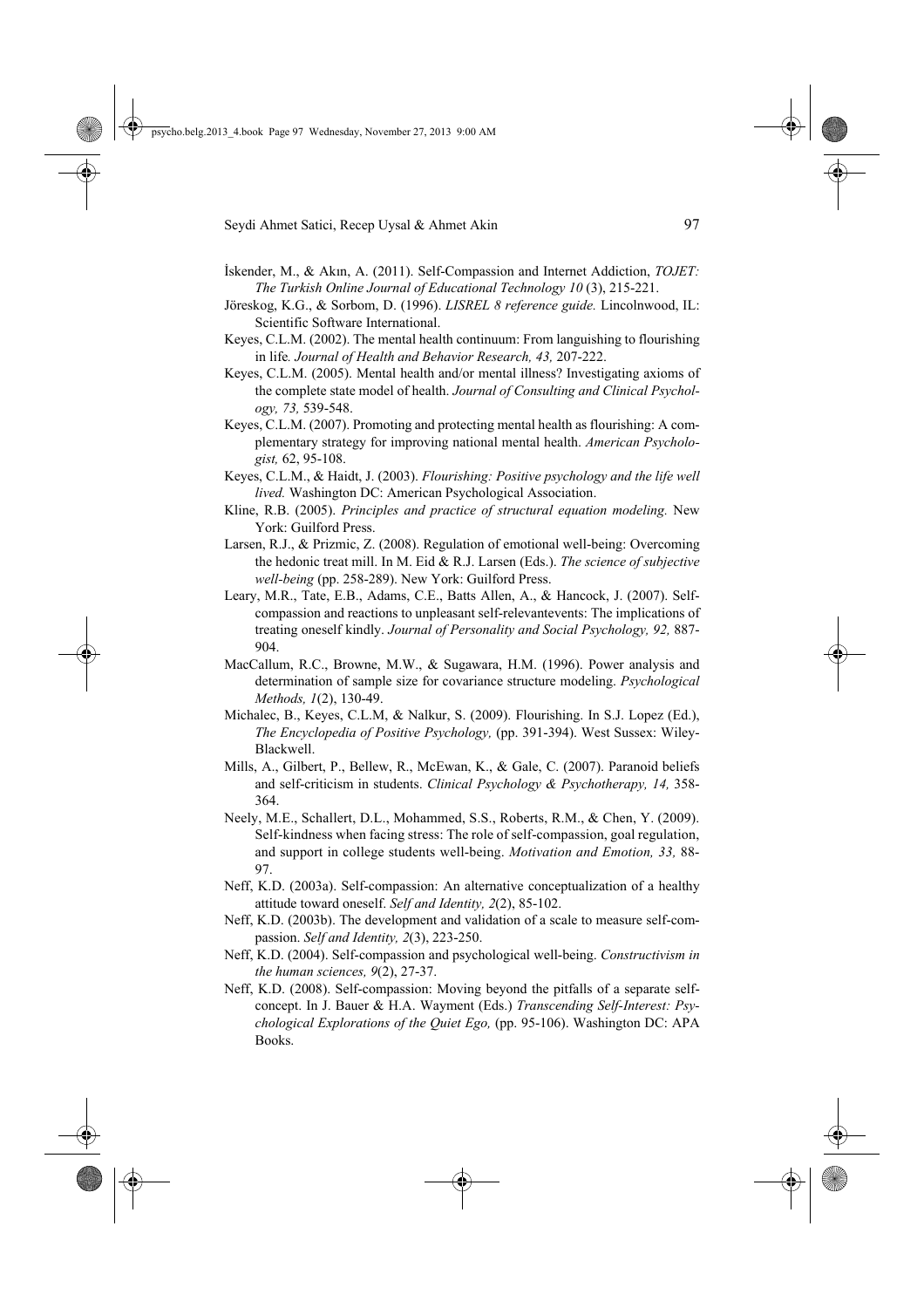- İskender, M., & Akın, A. (2011). Self-Compassion and Internet Addiction, *TOJET: The Turkish Online Journal of Educational Technology 10* (3), 215-221.
- Jöreskog, K.G., & Sorbom, D. (1996). *LISREL 8 reference guide.* Lincolnwood, IL: Scientific Software International.
- Keyes, C.L.M. (2002). The mental health continuum: From languishing to flourishing in life*. Journal of Health and Behavior Research, 43,* 207-222.
- Keyes, C.L.M. (2005). Mental health and/or mental illness? Investigating axioms of the complete state model of health. *Journal of Consulting and Clinical Psychology, 73,* 539-548.
- Keyes, C.L.M. (2007). Promoting and protecting mental health as flourishing: A complementary strategy for improving national mental health. *American Psychologist,* 62, 95-108.
- Keyes, C.L.M., & Haidt, J. (2003). *Flourishing: Positive psychology and the life well lived.* Washington DC: American Psychological Association.
- Kline, R.B. (2005). *Principles and practice of structural equation modeling.* New York: Guilford Press.
- Larsen, R.J., & Prizmic, Z. (2008). Regulation of emotional well-being: Overcoming the hedonic treat mill. In M. Eid & R.J. Larsen (Eds.). *The science of subjective well-being* (pp. 258-289). New York: Guilford Press.
- Leary, M.R., Tate, E.B., Adams, C.E., Batts Allen, A., & Hancock, J. (2007). Selfcompassion and reactions to unpleasant self-relevantevents: The implications of treating oneself kindly. *Journal of Personality and Social Psychology, 92,* 887- 904.
- MacCallum, R.C., Browne, M.W., & Sugawara, H.M. (1996). Power analysis and determination of sample size for covariance structure modeling. *Psychological Methods, 1*(2), 130-49.
- Michalec, B., Keyes, C.L.M, & Nalkur, S. (2009). Flourishing. In S.J. Lopez (Ed.), *The Encyclopedia of Positive Psychology,* (pp. 391-394). West Sussex: Wiley-Blackwell.
- Mills, A., Gilbert, P., Bellew, R., McEwan, K., & Gale, C. (2007). Paranoid beliefs and self-criticism in students. *Clinical Psychology & Psychotherapy, 14,* 358- 364.
- Neely, M.E., Schallert, D.L., Mohammed, S.S., Roberts, R.M., & Chen, Y. (2009). Self-kindness when facing stress: The role of self-compassion, goal regulation, and support in college students well-being. *Motivation and Emotion, 33,* 88- 97.
- Neff, K.D. (2003a). Self-compassion: An alternative conceptualization of a healthy attitude toward oneself. *Self and Identity, 2*(2), 85-102.
- Neff, K.D. (2003b). The development and validation of a scale to measure self-compassion. *Self and Identity, 2*(3), 223-250.
- Neff, K.D. (2004). Self-compassion and psychological well-being. *Constructivism in the human sciences, 9*(2), 27-37.
- Neff, K.D. (2008). Self-compassion: Moving beyond the pitfalls of a separate selfconcept. In J. Bauer & H.A. Wayment (Eds.) *Transcending Self-Interest: Psychological Explorations of the Quiet Ego,* (pp. 95-106). Washington DC: APA Books.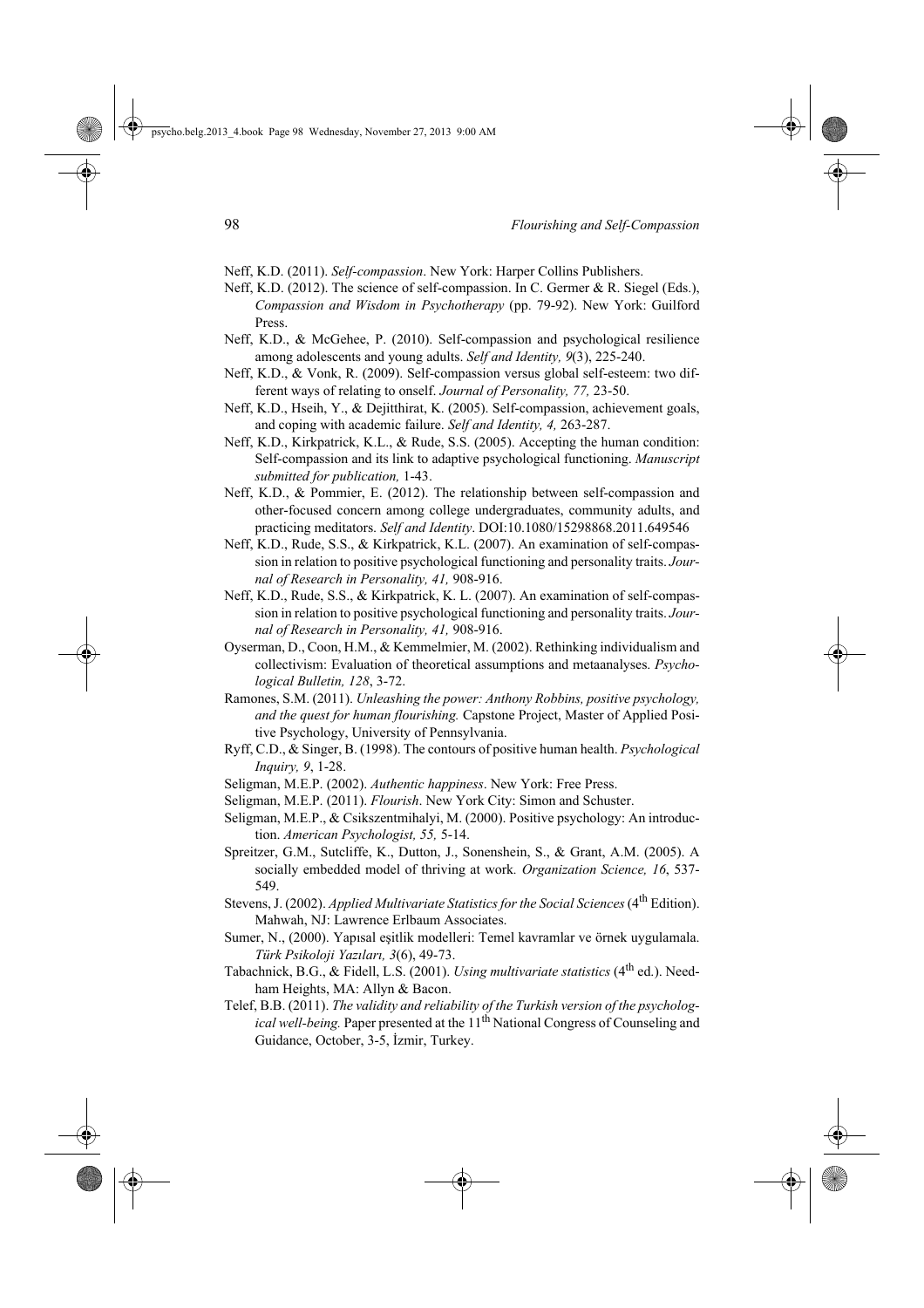- Neff, K.D. (2011). *Self-compassion*. New York: Harper Collins Publishers.
- Neff, K.D. (2012). The science of self-compassion. In C. Germer & R. Siegel (Eds.), *Compassion and Wisdom in Psychotherapy* (pp. 79-92). New York: Guilford Press.
- Neff, K.D., & McGehee, P. (2010). Self-compassion and psychological resilience among adolescents and young adults. *Self and Identity, 9*(3), 225-240.
- Neff, K.D., & Vonk, R. (2009). Self-compassion versus global self-esteem: two different ways of relating to onself. *Journal of Personality, 77,* 23-50.
- Neff, K.D., Hseih, Y., & Dejitthirat, K. (2005). Self-compassion, achievement goals, and coping with academic failure. *Self and Identity, 4,* 263-287.
- Neff, K.D., Kirkpatrick, K.L., & Rude, S.S. (2005). Accepting the human condition: Self-compassion and its link to adaptive psychological functioning. *Manuscript submitted for publication,* 1-43.
- Neff, K.D., & Pommier, E. (2012). The relationship between self-compassion and other-focused concern among college undergraduates, community adults, and practicing meditators. *Self and Identity*. DOI:10.1080/15298868.2011.649546
- Neff, K.D., Rude, S.S., & Kirkpatrick, K.L. (2007). An examination of self-compassion in relation to positive psychological functioning and personality traits. *Journal of Research in Personality, 41,* 908-916.
- Neff, K.D., Rude, S.S., & Kirkpatrick, K. L. (2007). An examination of self-compassion in relation to positive psychological functioning and personality traits. *Journal of Research in Personality, 41,* 908-916.
- Oyserman, D., Coon, H.M., & Kemmelmier, M. (2002). Rethinking individualism and collectivism: Evaluation of theoretical assumptions and metaanalyses. *Psychological Bulletin, 128*, 3-72.
- Ramones, S.M. (2011). *Unleashing the power: Anthony Robbins, positive psychology, and the quest for human flourishing.* Capstone Project, Master of Applied Positive Psychology, University of Pennsylvania.
- Ryff, C.D., & Singer, B. (1998). The contours of positive human health. *Psychological Inquiry, 9*, 1-28.
- Seligman, M.E.P. (2002). *Authentic happiness*. New York: Free Press.
- Seligman, M.E.P. (2011). *Flourish*. New York City: Simon and Schuster.
- Seligman, M.E.P., & Csikszentmihalyi, M. (2000). Positive psychology: An introduction. *American Psychologist, 55,* 5-14.
- Spreitzer, G.M., Sutcliffe, K., Dutton, J., Sonenshein, S., & Grant, A.M. (2005). A socially embedded model of thriving at work*. Organization Science, 16*, 537- 549.
- Stevens, J. (2002). *Applied Multivariate Statistics for the Social Sciences* (4<sup>th</sup> Edition). Mahwah, NJ: Lawrence Erlbaum Associates.
- Sumer, N., (2000). Yapısal eşitlik modelleri: Temel kavramlar ve örnek uygulamala. *Türk Psikoloji Yazıları, 3*(6), 49-73.
- Tabachnick, B.G., & Fidell, L.S. (2001). *Using multivariate statistics* (4<sup>th</sup> ed.). Needham Heights, MA: Allyn & Bacon.
- Telef, B.B. (2011). *The validity and reliability of the Turkish version of the psychological well-being.* Paper presented at the 11<sup>th</sup> National Congress of Counseling and Guidance, October, 3-5, İzmir, Turkey.